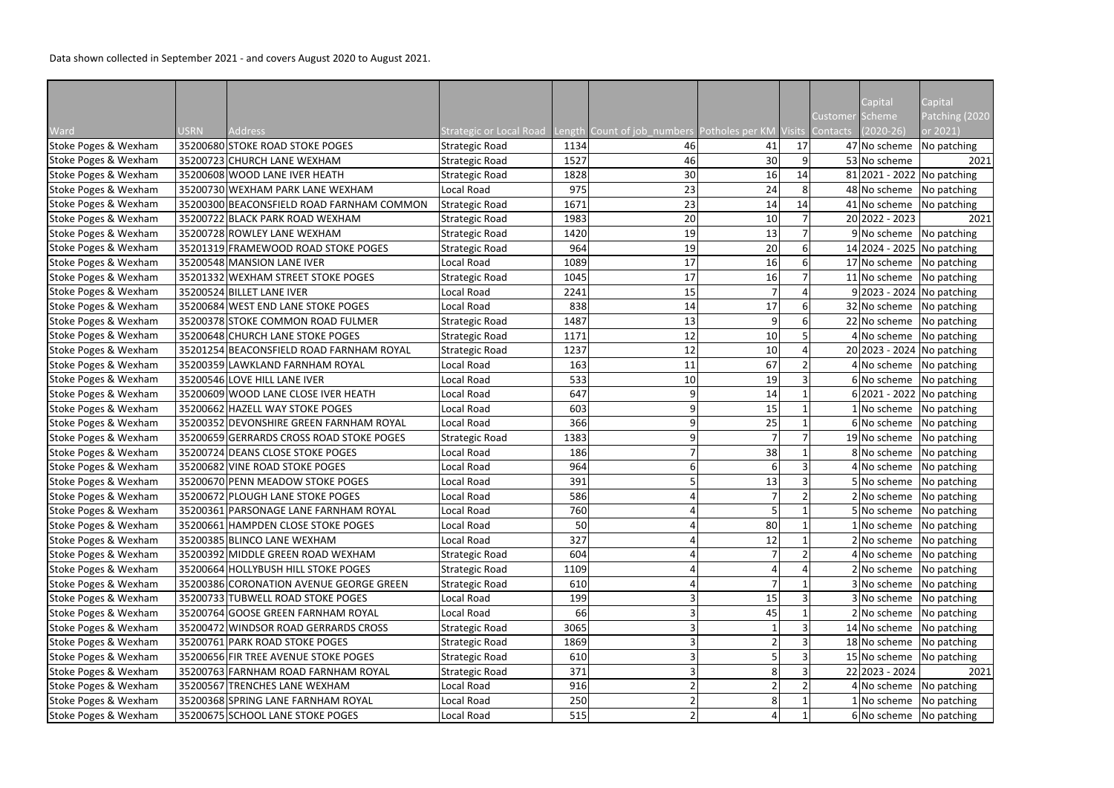|                      |             |                                           |                                |      |                                                             |                 |    |          | Capital        | Capital                      |
|----------------------|-------------|-------------------------------------------|--------------------------------|------|-------------------------------------------------------------|-----------------|----|----------|----------------|------------------------------|
|                      |             |                                           |                                |      |                                                             |                 |    | Customer | <b>Scheme</b>  | Patching (2020               |
| Ward                 | <b>USRN</b> | Address                                   | <b>Strategic or Local Road</b> |      | Length Count of job_numbers Potholes per KM Visits Contacts |                 |    |          | $(2020-26)$    | or 2021)                     |
| Stoke Poges & Wexham |             | 35200680 STOKE ROAD STOKE POGES           | <b>Strategic Road</b>          | 1134 | 46                                                          | 41              | 17 |          | 47 No scheme   | No patching                  |
| Stoke Poges & Wexham |             | 35200723 CHURCH LANE WEXHAM               | <b>Strategic Road</b>          | 1527 | 46                                                          | 30 <sup>1</sup> |    |          | 53 No scheme   | 2021                         |
| Stoke Poges & Wexham |             | 35200608 WOOD LANE IVER HEATH             | <b>Strategic Road</b>          | 1828 | 30                                                          | 16              | 14 |          |                | 81 2021 - 2022 No patching   |
| Stoke Poges & Wexham |             | 35200730 WEXHAM PARK LANE WEXHAM          | Local Road                     | 975  | 23                                                          | 24              |    |          | 48 No scheme   | No patching                  |
| Stoke Poges & Wexham |             | 35200300 BEACONSFIELD ROAD FARNHAM COMMON | Strategic Road                 | 1671 | 23                                                          | 14              | 14 |          | 41 No scheme   | No patching                  |
| Stoke Poges & Wexham |             | 35200722 BLACK PARK ROAD WEXHAM           | <b>Strategic Road</b>          | 1983 | 20                                                          | 10              |    |          | 20 2022 - 2023 | 2021                         |
| Stoke Poges & Wexham |             | 35200728 ROWLEY LANE WEXHAM               | <b>Strategic Road</b>          | 1420 | 19                                                          | 13              |    |          | 9 No scheme    | No patching                  |
| Stoke Poges & Wexham |             | 35201319 FRAMEWOOD ROAD STOKE POGES       | <b>Strategic Road</b>          | 964  | 19                                                          | 20              |    |          |                | 14 2024 - 2025 No patching   |
| Stoke Poges & Wexham |             | 35200548 MANSION LANE IVER                | Local Road                     | 1089 | 17                                                          | 16              |    |          |                | 17 No scheme No patching     |
| Stoke Poges & Wexham |             | 35201332 WEXHAM STREET STOKE POGES        | <b>Strategic Road</b>          | 1045 | 17                                                          | 16              |    |          | 11 No scheme   | No patching                  |
| Stoke Poges & Wexham |             | 35200524 BILLET LANE IVER                 | Local Road                     | 2241 | 15                                                          |                 |    |          |                | 9 2023 - 2024   No patching  |
| Stoke Poges & Wexham |             | 35200684 WEST END LANE STOKE POGES        | Local Road                     | 838  | 14                                                          | 17              |    |          | 32 No scheme   | No patching                  |
| Stoke Poges & Wexham |             | 35200378 STOKE COMMON ROAD FULMER         | <b>Strategic Road</b>          | 1487 | 13                                                          | 9               |    |          | 22 No scheme   | No patching                  |
| Stoke Poges & Wexham |             | 35200648 CHURCH LANE STOKE POGES          | <b>Strategic Road</b>          | 1171 | 12                                                          | 10              |    |          | 4 No scheme    | No patching                  |
| Stoke Poges & Wexham |             | 35201254 BEACONSFIELD ROAD FARNHAM ROYAL  | <b>Strategic Road</b>          | 1237 | 12                                                          | 10 <sup>1</sup> |    |          |                | 20 2023 - 2024   No patching |
| Stoke Poges & Wexham |             | 35200359 LAWKLAND FARNHAM ROYAL           | Local Road                     | 163  | 11                                                          | 67              |    |          | 4 No scheme    | No patching                  |
| Stoke Poges & Wexham |             | 35200546 LOVE HILL LANE IVER              | Local Road                     | 533  | 10                                                          | 19              |    |          | 6 No scheme    | No patching                  |
| Stoke Poges & Wexham |             | 35200609 WOOD LANE CLOSE IVER HEATH       | Local Road                     | 647  |                                                             | 14              |    |          |                | 6 2021 - 2022   No patching  |
| Stoke Poges & Wexham |             | 35200662 HAZELL WAY STOKE POGES           | Local Road                     | 603  |                                                             | 15              |    |          | 1 No scheme    | No patching                  |
| Stoke Poges & Wexham |             | 35200352 DEVONSHIRE GREEN FARNHAM ROYAL   | Local Road                     | 366  |                                                             | 25              |    |          | 6 No scheme    | No patching                  |
| Stoke Poges & Wexham |             | 35200659 GERRARDS CROSS ROAD STOKE POGES  | <b>Strategic Road</b>          | 1383 |                                                             |                 |    |          | 19 No scheme   | No patching                  |
| Stoke Poges & Wexham |             | 35200724 DEANS CLOSE STOKE POGES          | Local Road                     | 186  |                                                             | 38              |    |          | 8 No scheme    | No patching                  |
| Stoke Poges & Wexham |             | 35200682 VINE ROAD STOKE POGES            | Local Road                     | 964  |                                                             |                 |    |          | 4 No scheme    | No patching                  |
| Stoke Poges & Wexham |             | 35200670 PENN MEADOW STOKE POGES          | Local Road                     | 391  |                                                             | 13              |    |          | 5 No scheme    | No patching                  |
| Stoke Poges & Wexham |             | 35200672 PLOUGH LANE STOKE POGES          | Local Road                     | 586  |                                                             |                 |    |          |                | $2 No scheme$ No patching    |
| Stoke Poges & Wexham |             | 35200361 PARSONAGE LANE FARNHAM ROYAL     | Local Road                     | 760  |                                                             |                 |    |          | 5 No scheme    | No patching                  |
| Stoke Poges & Wexham |             | 35200661 HAMPDEN CLOSE STOKE POGES        | Local Road                     | 50   |                                                             | 80 <sup>1</sup> |    |          | 1 No scheme    | No patching                  |
| Stoke Poges & Wexham |             | 35200385 BLINCO LANE WEXHAM               | Local Road                     | 327  |                                                             | 12              |    |          | 2 No scheme    | No patching                  |
| Stoke Poges & Wexham |             | 35200392 MIDDLE GREEN ROAD WEXHAM         | <b>Strategic Road</b>          | 604  |                                                             |                 |    |          | 4 No scheme    | No patching                  |
| Stoke Poges & Wexham |             | 35200664 HOLLYBUSH HILL STOKE POGES       | <b>Strategic Road</b>          | 1109 |                                                             |                 |    |          | No scheme      | No patching                  |
| Stoke Poges & Wexham |             | 35200386 CORONATION AVENUE GEORGE GREEN   | <b>Strategic Road</b>          | 610  |                                                             |                 |    |          | 3 No scheme    | No patching                  |
| Stoke Poges & Wexham |             | 35200733 TUBWELL ROAD STOKE POGES         | Local Road                     | 199  |                                                             | 15              |    |          | 3 No scheme    | No patching                  |
| Stoke Poges & Wexham |             | 35200764 GOOSE GREEN FARNHAM ROYAL        | Local Road                     | 66   |                                                             | 45              |    |          | 2 No scheme    | No patching                  |
| Stoke Poges & Wexham |             | 35200472 WINDSOR ROAD GERRARDS CROSS      | <b>Strategic Road</b>          | 3065 |                                                             |                 |    |          | 14 No scheme   | No patching                  |
| Stoke Poges & Wexham |             | 35200761 PARK ROAD STOKE POGES            | <b>Strategic Road</b>          | 1869 |                                                             |                 |    |          | 18 No scheme   | No patching                  |
| Stoke Poges & Wexham |             | 35200656 FIR TREE AVENUE STOKE POGES      | <b>Strategic Road</b>          | 610  |                                                             |                 |    |          | 15 No scheme   | No patching                  |
| Stoke Poges & Wexham |             | 35200763 FARNHAM ROAD FARNHAM ROYAL       | <b>Strategic Road</b>          | 371  |                                                             |                 |    |          | 22 2023 - 2024 | 2021                         |
| Stoke Poges & Wexham |             | 35200567 TRENCHES LANE WEXHAM             | Local Road                     | 916  |                                                             |                 |    |          | 4 No scheme    | No patching                  |
| Stoke Poges & Wexham |             | 35200368 SPRING LANE FARNHAM ROYAL        | Local Road                     | 250  |                                                             |                 |    |          | 1 No scheme    | No patching                  |
| Stoke Poges & Wexham |             | 35200675 SCHOOL LANE STOKE POGES          | Local Road                     | 515  |                                                             |                 |    |          | 6 No scheme    | No patching                  |